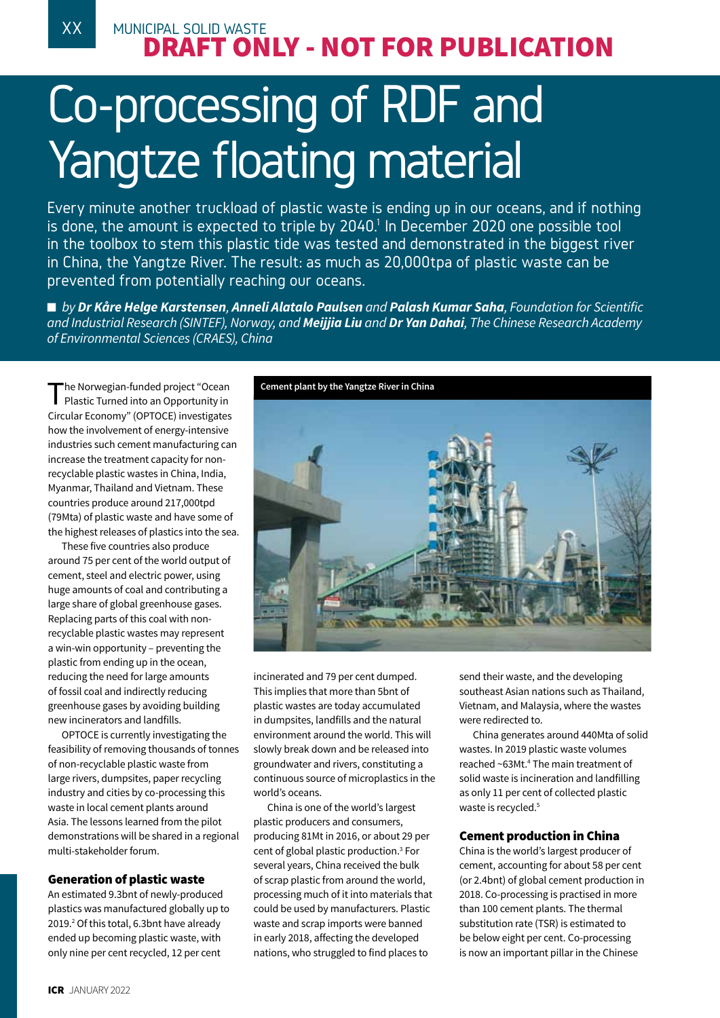# XX MUNICIPAL SOLID WASTE DRAFT ONLY - NOT FOR PUBLICATION

# Co-processing of RDF and Yangtze floating material

Every minute another truckload of plastic waste is ending up in our oceans, and if nothing is done, the amount is expected to triple by 2040.<sup>1</sup> In December 2020 one possible tool in the toolbox to stem this plastic tide was tested and demonstrated in the biggest river in China, the Yangtze River. The result: as much as 20,000tpa of plastic waste can be prevented from potentially reaching our oceans.

■ *by Dr Kåre Helge Karstensen, Anneli Alatalo Paulsen and Palash Kumar Saha, Foundation for Scientific and Industrial Research (SINTEF), Norway, and Meijjia Liu and Dr Yan Dahai, The Chinese Research Academy of Environmental Sciences (CRAES), China*

The Norwegian-funded project "Ocean<br>Plastic Turned into an Opportunity in Circular Economy" (OPTOCE) investigates how the involvement of energy-intensive industries such cement manufacturing can increase the treatment capacity for nonrecyclable plastic wastes in China, India, Myanmar, Thailand and Vietnam. These countries produce around 217,000tpd (79Mta) of plastic waste and have some of the highest releases of plastics into the sea.

These five countries also produce around 75 per cent of the world output of cement, steel and electric power, using huge amounts of coal and contributing a large share of global greenhouse gases. Replacing parts of this coal with nonrecyclable plastic wastes may represent a win-win opportunity – preventing the plastic from ending up in the ocean, reducing the need for large amounts of fossil coal and indirectly reducing greenhouse gases by avoiding building new incinerators and landfills.

OPTOCE is currently investigating the feasibility of removing thousands of tonnes of non-recyclable plastic waste from large rivers, dumpsites, paper recycling industry and cities by co-processing this waste in local cement plants around Asia. The lessons learned from the pilot demonstrations will be shared in a regional multi-stakeholder forum.

# Generation of plastic waste

An estimated 9.3bnt of newly-produced plastics was manufactured globally up to 2019.<sup>2</sup> Of this total, 6.3bnt have already ended up becoming plastic waste, with only nine per cent recycled, 12 per cent



incinerated and 79 per cent dumped. This implies that more than 5bnt of plastic wastes are today accumulated in dumpsites, landfills and the natural environment around the world. This will slowly break down and be released into groundwater and rivers, constituting a continuous source of microplastics in the world's oceans.

China is one of the world's largest plastic producers and consumers, producing 81Mt in 2016, or about 29 per cent of global plastic production.3 For several years, China received the bulk of scrap plastic from around the world, processing much of it into materials that could be used by manufacturers. Plastic waste and scrap imports were banned in early 2018, affecting the developed nations, who struggled to find places to

send their waste, and the developing southeast Asian nations such as Thailand, Vietnam, and Malaysia, where the wastes were redirected to.

China generates around 440Mta of solid wastes. In 2019 plastic waste volumes reached ~63Mt.<sup>4</sup> The main treatment of solid waste is incineration and landfilling as only 11 per cent of collected plastic waste is recycled.<sup>5</sup>

# Cement production in China

China is the world's largest producer of cement, accounting for about 58 per cent (or 2.4bnt) of global cement production in 2018. Co-processing is practised in more than 100 cement plants. The thermal substitution rate (TSR) is estimated to be below eight per cent. Co-processing is now an important pillar in the Chinese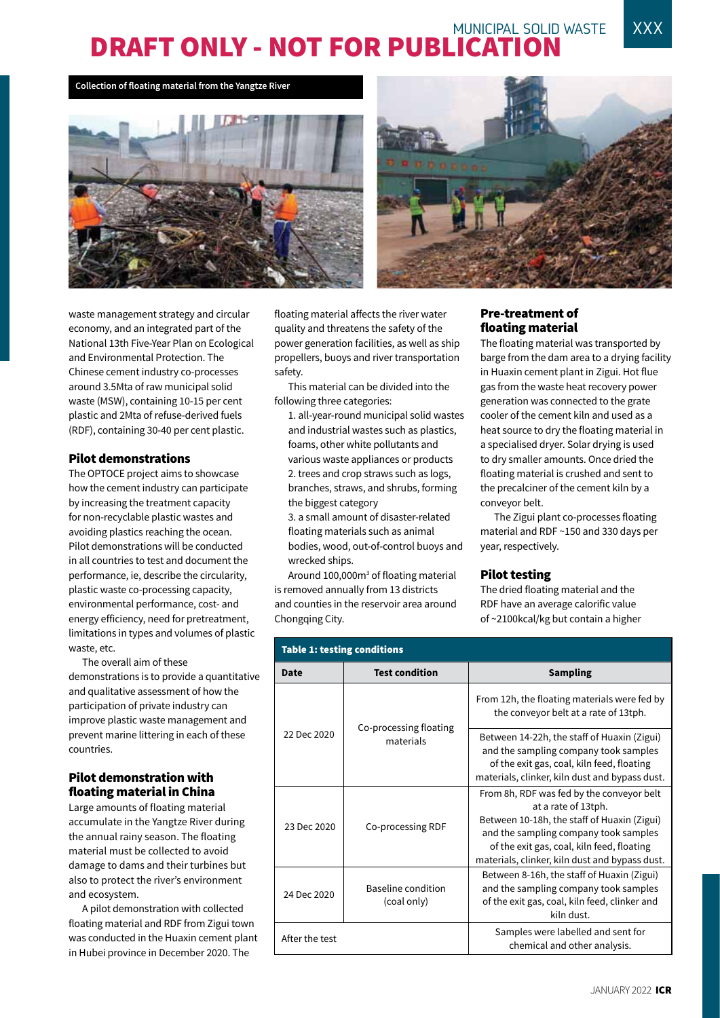# MUNICIPAL SOLID WASTE XXX DRAFT ONLY - NOT FOR PUBLICATION

**Collection of floating material from the Yangtze River**





waste management strategy and circular economy, and an integrated part of the National 13th Five-Year Plan on Ecological and Environmental Protection. The Chinese cement industry co-processes around 3.5Mta of raw municipal solid waste (MSW), containing 10-15 per cent plastic and 2Mta of refuse-derived fuels (RDF), containing 30-40 per cent plastic.

### Pilot demonstrations

The OPTOCE project aims to showcase how the cement industry can participate by increasing the treatment capacity for non-recyclable plastic wastes and avoiding plastics reaching the ocean. Pilot demonstrations will be conducted in all countries to test and document the performance, ie, describe the circularity, plastic waste co-processing capacity, environmental performance, cost- and energy efficiency, need for pretreatment, limitations in types and volumes of plastic waste, etc.

The overall aim of these demonstrations is to provide a quantitative and qualitative assessment of how the participation of private industry can improve plastic waste management and prevent marine littering in each of these countries.

## Pilot demonstration with floating material in China

Large amounts of floating material accumulate in the Yangtze River during the annual rainy season. The floating material must be collected to avoid damage to dams and their turbines but also to protect the river's environment and ecosystem.

A pilot demonstration with collected floating material and RDF from Zigui town was conducted in the Huaxin cement plant in Hubei province in December 2020. The

floating material affects the river water quality and threatens the safety of the power generation facilities, as well as ship propellers, buoys and river transportation safety.

This material can be divided into the following three categories:

- 1. all-year-round municipal solid wastes and industrial wastes such as plastics, foams, other white pollutants and various waste appliances or products 2. trees and crop straws such as logs, branches, straws, and shrubs, forming the biggest category
- 3. a small amount of disaster-related floating materials such as animal bodies, wood, out-of-control buoys and wrecked ships.

Around 100,000m<sup>3</sup> of floating material is removed annually from 13 districts and counties in the reservoir area around Chongqing City.

## Pre-treatment of floating material

The floating material was transported by barge from the dam area to a drying facility in Huaxin cement plant in Zigui. Hot flue gas from the waste heat recovery power generation was connected to the grate cooler of the cement kiln and used as a heat source to dry the floating material in a specialised dryer. Solar drying is used to dry smaller amounts. Once dried the floating material is crushed and sent to the precalciner of the cement kiln by a conveyor belt.

The Zigui plant co-processes floating material and RDF ~150 and 330 days per year, respectively.

## Pilot testing

The dried floating material and the RDF have an average calorific value of ~2100kcal/kg but contain a higher

| <b>Table 1: testing conditions</b> |                                     |                                                                                                                                                                                                                                                          |  |
|------------------------------------|-------------------------------------|----------------------------------------------------------------------------------------------------------------------------------------------------------------------------------------------------------------------------------------------------------|--|
| Date                               | <b>Test condition</b>               | <b>Sampling</b>                                                                                                                                                                                                                                          |  |
| 22 Dec 2020                        | Co-processing floating<br>materials | From 12h, the floating materials were fed by<br>the conveyor belt at a rate of 13tph.                                                                                                                                                                    |  |
|                                    |                                     | Between 14-22h, the staff of Huaxin (Zigui)<br>and the sampling company took samples<br>of the exit gas, coal, kiln feed, floating<br>materials, clinker, kiln dust and bypass dust.                                                                     |  |
| 23 Dec 2020                        | Co-processing RDF                   | From 8h, RDF was fed by the conveyor belt<br>at a rate of 13tph.<br>Between 10-18h, the staff of Huaxin (Zigui)<br>and the sampling company took samples<br>of the exit gas, coal, kiln feed, floating<br>materials, clinker, kiln dust and bypass dust. |  |
| 24 Dec 2020                        | Baseline condition<br>(coal only)   | Between 8-16h, the staff of Huaxin (Zigui)<br>and the sampling company took samples<br>of the exit gas, coal, kiln feed, clinker and<br>kiln dust.                                                                                                       |  |
| After the test                     |                                     | Samples were labelled and sent for<br>chemical and other analysis.                                                                                                                                                                                       |  |